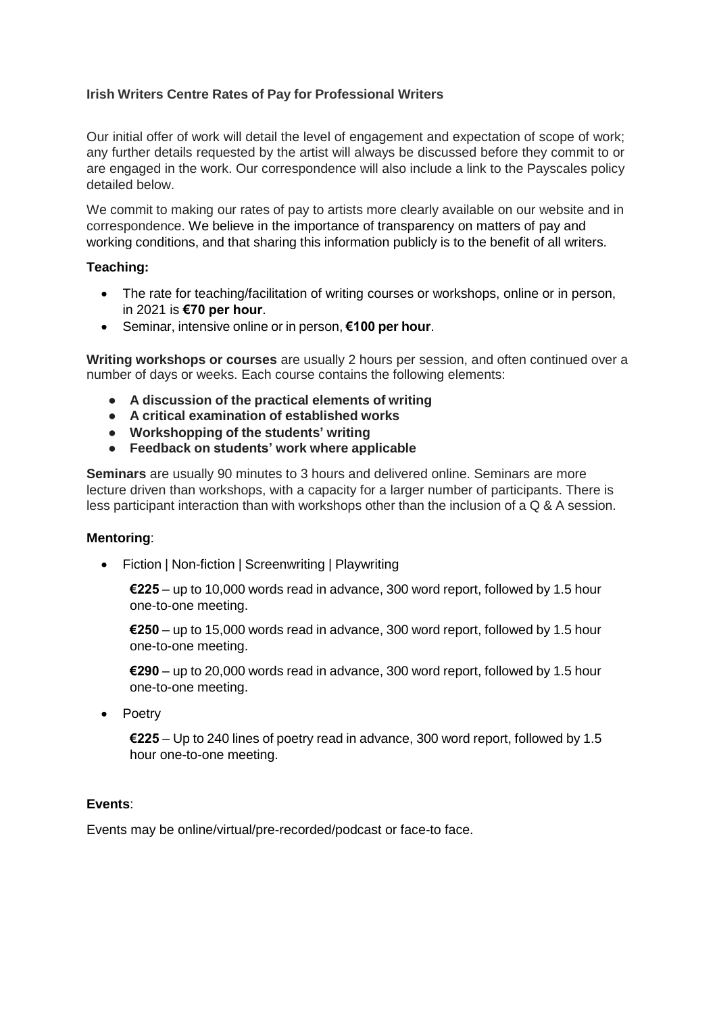## **Irish Writers Centre Rates of Pay for Professional Writers**

Our initial offer of work will detail the level of engagement and expectation of scope of work; any further details requested by the artist will always be discussed before they commit to or are engaged in the work. Our correspondence will also include a link to the Payscales policy detailed below.

We commit to making our rates of pay to artists more clearly available on our website and in correspondence. We believe in the importance of transparency on matters of pay and working conditions, and that sharing this information publicly is to the benefit of all writers.

## **Teaching:**

- The rate for teaching/facilitation of writing courses or workshops, online or in person, in 2021 is **€70 per hour**.
- Seminar, intensive online or in person, **€100 per hour**.

**Writing workshops or courses** are usually 2 hours per session, and often continued over a number of days or weeks. Each course contains the following elements:

- **● A discussion of the practical elements of writing**
- **● A critical examination of established works**
- **● Workshopping of the students' writing**
- **● Feedback on students' work where applicable**

**Seminars** are usually 90 minutes to 3 hours and delivered online. Seminars are more lecture driven than workshops, with a capacity for a larger number of participants. There is less participant interaction than with workshops other than the inclusion of a Q & A session.

## **Mentoring**:

• Fiction | Non-fiction | Screenwriting | Playwriting

**€225** – up to 10,000 words read in advance, 300 word report, followed by 1.5 hour one-to-one meeting.

**€250** – up to 15,000 words read in advance, 300 word report, followed by 1.5 hour one-to-one meeting.

**€290** – up to 20,000 words read in advance, 300 word report, followed by 1.5 hour one-to-one meeting.

Poetry

**€225** – Up to 240 lines of poetry read in advance, 300 word report, followed by 1.5 hour one-to-one meeting.

## **Events**:

Events may be online/virtual/pre-recorded/podcast or face-to face.